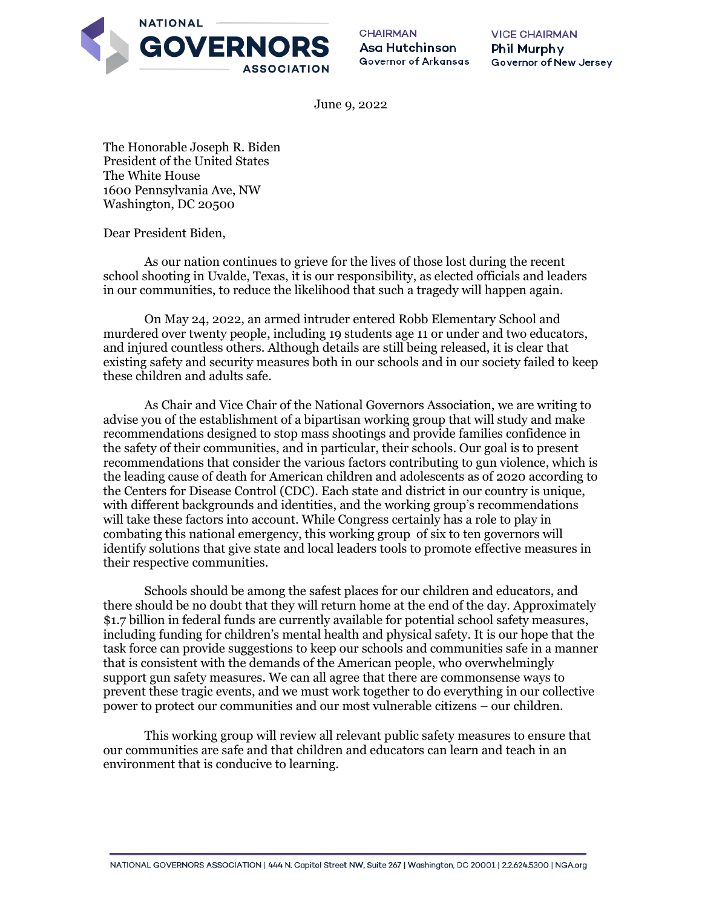

**CHAIRMAN** Asa Hutchinson Governor of Arkansas **VICE CHAIRMAN** Phil Murphy Governor of New Jersey

June 9, 2022

The Honorable Joseph R. Biden President of the United States The White House 1600 Pennsylvania Ave, NW Washington, DC 20500

Dear President Biden,

As our nation continues to grieve for the lives of those lost during the recent school shooting in Uvalde, Texas, it is our responsibility, as elected officials and leaders in our communities, to reduce the likelihood that such a tragedy will happen again.

On May 24, 2022, an armed intruder entered Robb Elementary School and murdered over twenty people, including 19 students age 11 or under and two educators, and injured countless others. Although details are still being released, it is clear that existing safety and security measures both in our schools and in our society failed to keep these children and adults safe.

As Chair and Vice Chair of the National Governors Association, we are writing to advise you of the establishment of a bipartisan working group that will study and make recommendations designed to stop mass shootings and provide families confidence in the safety of their communities, and in particular, their schools. Our goal is to present recommendations that consider the various factors contributing to gun violence, which is the leading cause of death for American children and adolescents as of 2020 according to the Centers for Disease Control (CDC). Each state and district in our country is unique, with different backgrounds and identities, and the working group's recommendations will take these factors into account. While Congress certainly has a role to play in combating this national emergency, this working group of six to ten governors will identify solutions that give state and local leaders tools to promote effective measures in their respective communities.

Schools should be among the safest places for our children and educators, and there should be no doubt that they will return home at the end of the day. Approximately \$1.7 billion in federal funds are currently available for potential school safety measures, including funding for children's mental health and physical safety. It is our hope that the task force can provide suggestions to keep our schools and communities safe in a manner that is consistent with the demands of the American people, who overwhelmingly support gun safety measures. We can all agree that there are commonsense ways to prevent these tragic events, and we must work together to do everything in our collective power to protect our communities and our most vulnerable citizens – our children.

This working group will review all relevant public safety measures to ensure that our communities are safe and that children and educators can learn and teach in an environment that is conducive to learning.